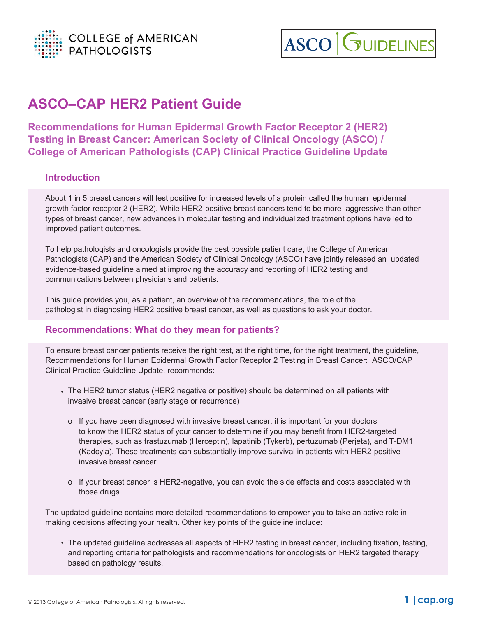



# **ASCO–CAP HER2 Patient Guide**

**Recommendations for Human Epidermal Growth Factor Receptor 2 (HER2) Testing in Breast Cancer: American Society of Clinical Oncology (ASCO) / College of American Pathologists (CAP) Clinical Practice Guideline Update**

## **Introduction**

About 1 in 5 breast cancers will test positive for increased levels of a protein called the human epidermal growth factor receptor 2 (HER2). While HER2-positive breast cancers tend to be more aggressive than other types of breast cancer, new advances in molecular testing and individualized treatment options have led to improved patient outcomes.

To help pathologists and oncologists provide the best possible patient care, the College of American Pathologists (CAP) and the American Society of Clinical Oncology (ASCO) have jointly released an updated evidence-based guideline aimed at improving the accuracy and reporting of HER2 testing and communications between physicians and patients.

This guide provides you, as a patient, an overview of the recommendations, the role of the pathologist in diagnosing HER2 positive breast cancer, as well as questions to ask your doctor.

## **Recommendations: What do they mean for patients?**

To ensure breast cancer patients receive the right test, at the right time, for the right treatment, the guideline, Recommendations for Human Epidermal Growth Factor Receptor 2 Testing in Breast Cancer: ASCO/CAP Clinical Practice Guideline Update, recommends:

- The HER2 tumor status (HER2 negative or positive) should be determined on all patients with •invasive breast cancer (early stage or recurrence)
	- o If you have been diagnosed with invasive breast cancer, it is important for your doctors to know the HER2 status of your cancer to determine if you may benefit from HER2-targeted therapies, such as trastuzumab (Herceptin), lapatinib (Tykerb), pertuzumab (Perjeta), and T-DM1 (Kadcyla). These treatments can substantially improve survival in patients with HER2-positive invasive breast cancer.
	- o If your breast cancer is HER2-negative, you can avoid the side effects and costs associated with those drugs.

The updated guideline contains more detailed recommendations to empower you to take an active role in making decisions affecting your health. Other key points of the guideline include:

• The updated guideline addresses all aspects of HER2 testing in breast cancer, including fixation, testing, and reporting criteria for pathologists and recommendations for oncologists on HER2 targeted therapy based on pathology results.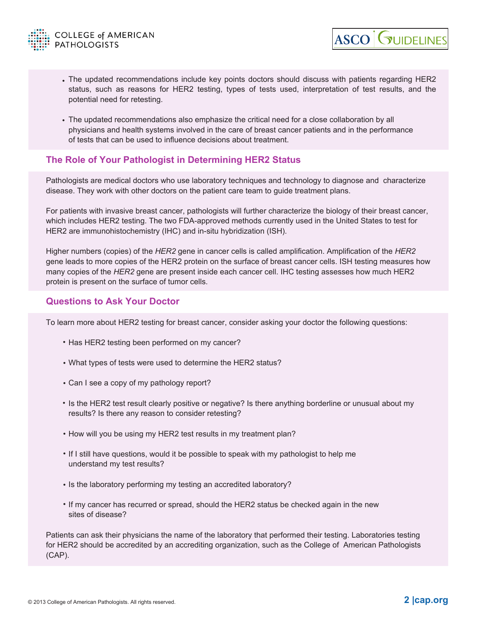

The updated recommendations include key points doctors should discuss with patients regarding HER2 • status, such as reasons for HER2 testing, types of tests used, interpretation of test results, and the potential need for retesting.

**ASCO GUIDELINES** 

The updated recommendations also emphasize the critical need for a close collaboration by all • physicians and health systems involved in the care of breast cancer patients and in the performance of tests that can be used to influence decisions about treatment.

## **The Role of Your Pathologist in Determining HER2 Status**

Pathologists are medical doctors who use laboratory techniques and technology to diagnose and characterize disease. They work with other doctors on the patient care team to guide treatment plans.

For patients with invasive breast cancer, pathologists will further characterize the biology of their breast cancer, which includes HER2 testing. The two FDA-approved methods currently used in the United States to test for HER2 are immunohistochemistry (IHC) and in-situ hybridization (ISH).

Higher numbers (copies) of the *HER2* gene in cancer cells is called amplification. Amplification of the *HER2* gene leads to more copies of the HER2 protein on the surface of breast cancer cells. ISH testing measures how many copies of the *HER2* gene are present inside each cancer cell. IHC testing assesses how much HER2 protein is present on the surface of tumor cells.

## **Questions to Ask Your Doctor**

To learn more about HER2 testing for breast cancer, consider asking your doctor the following questions:

- Has HER2 testing been performed on my cancer?
- What types of tests were used to determine the HER2 status? •
- Can I see a copy of my pathology report? •
- Is the HER2 test result clearly positive or negative? Is there anything borderline or unusual about my results? Is there any reason to consider retesting?
- How will you be using my HER2 test results in my treatment plan?
- If I still have questions, would it be possible to speak with my pathologist to help me understand my test results?
- Is the laboratory performing my testing an accredited laboratory?
- If my cancer has recurred or spread, should the HER2 status be checked again in the new sites of disease?

Patients can ask their physicians the name of the laboratory that performed their testing. Laboratories testing for HER2 should be accredited by an accrediting organization, such as the College of American Pathologists (CAP).